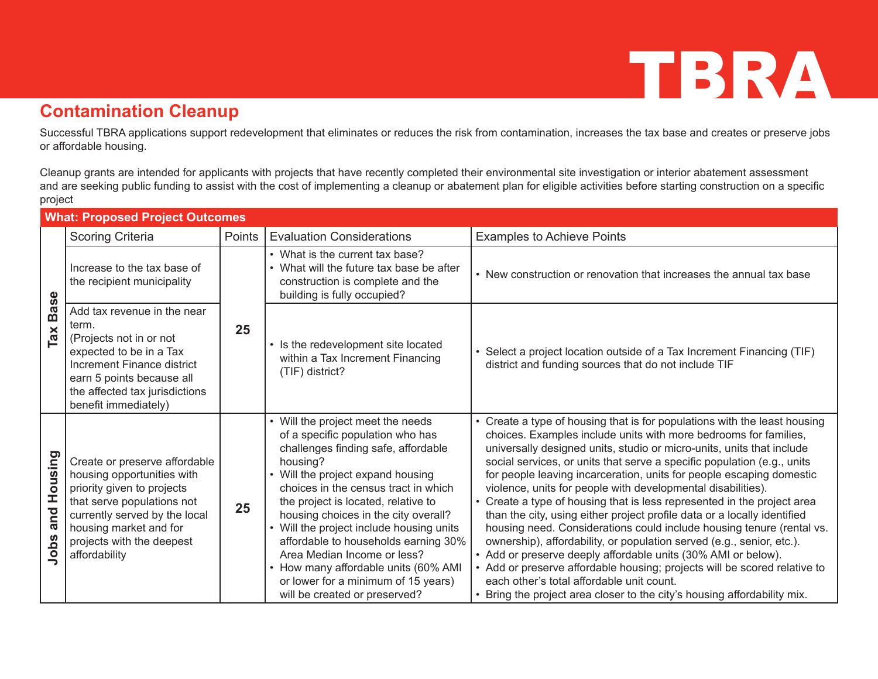#### **Contamination Cleanup**

Successful TBRA applications support redevelopment that eliminates or reduces the risk from contamination, increases the tax base and creates or preserve jobs or affordable housing.

Cleanup grants are intended for applicants with projects that have recently completed their environmental site investigation or interior abatement assessment and are seeking public funding to assist with the cost of implementing a cleanup or abatement plan for eligible activities before starting construction on a specific project

| <b>What: Proposed Project Outcomes</b> |                                                                                                                                                                                                                                  |        |                                                                                                                                                                                                                                                                                                                                                                                                                                                                                                                     |                                                                                                                                                                                                                                                                                                                                                                                                                                                                                                                                                                                                                                                                                                                                                                                                                                                                                                                                                                                                                           |  |
|----------------------------------------|----------------------------------------------------------------------------------------------------------------------------------------------------------------------------------------------------------------------------------|--------|---------------------------------------------------------------------------------------------------------------------------------------------------------------------------------------------------------------------------------------------------------------------------------------------------------------------------------------------------------------------------------------------------------------------------------------------------------------------------------------------------------------------|---------------------------------------------------------------------------------------------------------------------------------------------------------------------------------------------------------------------------------------------------------------------------------------------------------------------------------------------------------------------------------------------------------------------------------------------------------------------------------------------------------------------------------------------------------------------------------------------------------------------------------------------------------------------------------------------------------------------------------------------------------------------------------------------------------------------------------------------------------------------------------------------------------------------------------------------------------------------------------------------------------------------------|--|
|                                        | <b>Scoring Criteria</b>                                                                                                                                                                                                          | Points | <b>Evaluation Considerations</b>                                                                                                                                                                                                                                                                                                                                                                                                                                                                                    | <b>Examples to Achieve Points</b>                                                                                                                                                                                                                                                                                                                                                                                                                                                                                                                                                                                                                                                                                                                                                                                                                                                                                                                                                                                         |  |
| <b>Base</b><br>Ta <b>x</b>             | Increase to the tax base of<br>the recipient municipality                                                                                                                                                                        | 25     | • What is the current tax base?<br>• What will the future tax base be after<br>construction is complete and the<br>building is fully occupied?                                                                                                                                                                                                                                                                                                                                                                      | • New construction or renovation that increases the annual tax base                                                                                                                                                                                                                                                                                                                                                                                                                                                                                                                                                                                                                                                                                                                                                                                                                                                                                                                                                       |  |
|                                        | Add tax revenue in the near<br>term.<br>(Projects not in or not<br>expected to be in a Tax<br>Increment Finance district<br>earn 5 points because all<br>the affected tax jurisdictions<br>benefit immediately)                  |        | • Is the redevelopment site located<br>within a Tax Increment Financing<br>(TIF) district?                                                                                                                                                                                                                                                                                                                                                                                                                          | • Select a project location outside of a Tax Increment Financing (TIF)<br>district and funding sources that do not include TIF                                                                                                                                                                                                                                                                                                                                                                                                                                                                                                                                                                                                                                                                                                                                                                                                                                                                                            |  |
| Housing<br>and<br>Jobs                 | Create or preserve affordable<br>housing opportunities with<br>priority given to projects<br>that serve populations not<br>currently served by the local<br>housing market and for<br>projects with the deepest<br>affordability | 25     | • Will the project meet the needs<br>of a specific population who has<br>challenges finding safe, affordable<br>housing?<br>Will the project expand housing<br>choices in the census tract in which<br>the project is located, relative to<br>housing choices in the city overall?<br>Will the project include housing units<br>affordable to households earning 30%<br>Area Median Income or less?<br>• How many affordable units (60% AMI<br>or lower for a minimum of 15 years)<br>will be created or preserved? | • Create a type of housing that is for populations with the least housing<br>choices. Examples include units with more bedrooms for families,<br>universally designed units, studio or micro-units, units that include<br>social services, or units that serve a specific population (e.g., units<br>for people leaving incarceration, units for people escaping domestic<br>violence, units for people with developmental disabilities).<br>• Create a type of housing that is less represented in the project area<br>than the city, using either project profile data or a locally identified<br>housing need. Considerations could include housing tenure (rental vs.<br>ownership), affordability, or population served (e.g., senior, etc.).<br>• Add or preserve deeply affordable units (30% AMI or below).<br>• Add or preserve affordable housing; projects will be scored relative to<br>each other's total affordable unit count.<br>• Bring the project area closer to the city's housing affordability mix. |  |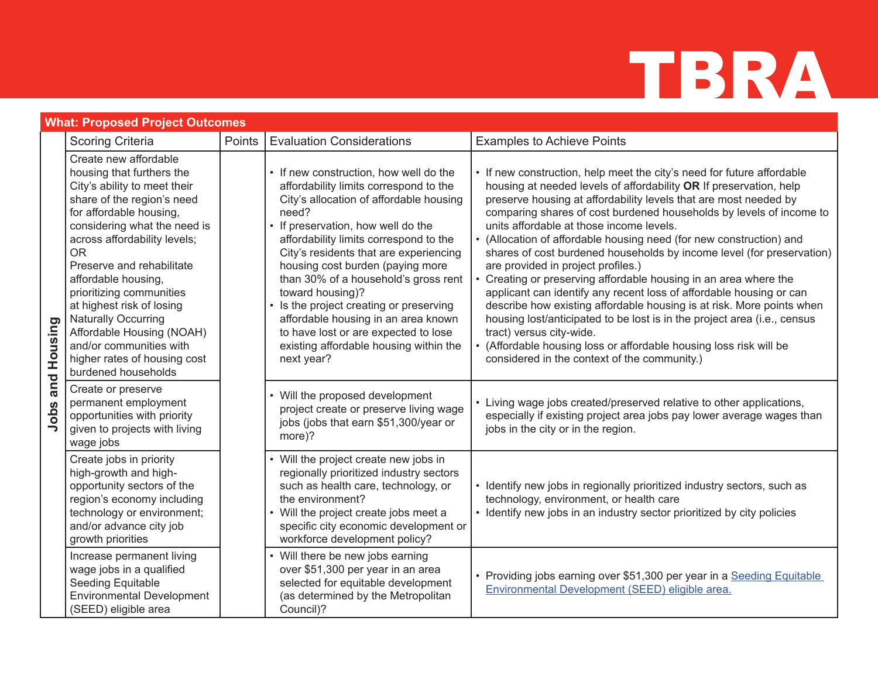| <b>What: Proposed Project Outcomes</b> |                                                                                                                                                                                                                                                                                                                                                                                                                                                                                    |        |                                                                                                                                                                                                                                                                                                                                                                                                                                                                                                                                                  |                                                                                                                                                                                                                                                                                                                                                                                                                                                                                                                                                                                                                                                                                                                                                                                                                                                                                                                                                                             |  |
|----------------------------------------|------------------------------------------------------------------------------------------------------------------------------------------------------------------------------------------------------------------------------------------------------------------------------------------------------------------------------------------------------------------------------------------------------------------------------------------------------------------------------------|--------|--------------------------------------------------------------------------------------------------------------------------------------------------------------------------------------------------------------------------------------------------------------------------------------------------------------------------------------------------------------------------------------------------------------------------------------------------------------------------------------------------------------------------------------------------|-----------------------------------------------------------------------------------------------------------------------------------------------------------------------------------------------------------------------------------------------------------------------------------------------------------------------------------------------------------------------------------------------------------------------------------------------------------------------------------------------------------------------------------------------------------------------------------------------------------------------------------------------------------------------------------------------------------------------------------------------------------------------------------------------------------------------------------------------------------------------------------------------------------------------------------------------------------------------------|--|
|                                        | <b>Scoring Criteria</b>                                                                                                                                                                                                                                                                                                                                                                                                                                                            | Points | <b>Evaluation Considerations</b>                                                                                                                                                                                                                                                                                                                                                                                                                                                                                                                 | <b>Examples to Achieve Points</b>                                                                                                                                                                                                                                                                                                                                                                                                                                                                                                                                                                                                                                                                                                                                                                                                                                                                                                                                           |  |
| Housing<br>and<br>Jobs                 | Create new affordable<br>housing that furthers the<br>City's ability to meet their<br>share of the region's need<br>for affordable housing,<br>considering what the need is<br>across affordability levels;<br><b>OR</b><br>Preserve and rehabilitate<br>affordable housing,<br>prioritizing communities<br>at highest risk of losing<br><b>Naturally Occurring</b><br>Affordable Housing (NOAH)<br>and/or communities with<br>higher rates of housing cost<br>burdened households |        | • If new construction, how well do the<br>affordability limits correspond to the<br>City's allocation of affordable housing<br>need?<br>• If preservation, how well do the<br>affordability limits correspond to the<br>City's residents that are experiencing<br>housing cost burden (paying more<br>than 30% of a household's gross rent<br>toward housing)?<br>• Is the project creating or preserving<br>affordable housing in an area known<br>to have lost or are expected to lose<br>existing affordable housing within the<br>next year? | • If new construction, help meet the city's need for future affordable<br>housing at needed levels of affordability OR If preservation, help<br>preserve housing at affordability levels that are most needed by<br>comparing shares of cost burdened households by levels of income to<br>units affordable at those income levels.<br>• (Allocation of affordable housing need (for new construction) and<br>shares of cost burdened households by income level (for preservation)<br>are provided in project profiles.)<br>• Creating or preserving affordable housing in an area where the<br>applicant can identify any recent loss of affordable housing or can<br>describe how existing affordable housing is at risk. More points when<br>housing lost/anticipated to be lost is in the project area (i.e., census<br>tract) versus city-wide.<br>• (Affordable housing loss or affordable housing loss risk will be<br>considered in the context of the community.) |  |
|                                        | Create or preserve<br>permanent employment<br>opportunities with priority<br>given to projects with living<br>wage jobs                                                                                                                                                                                                                                                                                                                                                            |        | • Will the proposed development<br>project create or preserve living wage<br>jobs (jobs that earn \$51,300/year or<br>more)?                                                                                                                                                                                                                                                                                                                                                                                                                     | • Living wage jobs created/preserved relative to other applications,<br>especially if existing project area jobs pay lower average wages than<br>jobs in the city or in the region.                                                                                                                                                                                                                                                                                                                                                                                                                                                                                                                                                                                                                                                                                                                                                                                         |  |
|                                        | Create jobs in priority<br>high-growth and high-<br>opportunity sectors of the<br>region's economy including<br>technology or environment;<br>and/or advance city job<br>growth priorities                                                                                                                                                                                                                                                                                         |        | • Will the project create new jobs in<br>regionally prioritized industry sectors<br>such as health care, technology, or<br>the environment?<br>• Will the project create jobs meet a<br>specific city economic development or<br>workforce development policy?                                                                                                                                                                                                                                                                                   | • Identify new jobs in regionally prioritized industry sectors, such as<br>technology, environment, or health care<br>• Identify new jobs in an industry sector prioritized by city policies                                                                                                                                                                                                                                                                                                                                                                                                                                                                                                                                                                                                                                                                                                                                                                                |  |
|                                        | Increase permanent living<br>wage jobs in a qualified<br>Seeding Equitable<br><b>Environmental Development</b><br>(SEED) eligible area                                                                                                                                                                                                                                                                                                                                             |        | • Will there be new jobs earning<br>over \$51,300 per year in an area<br>selected for equitable development<br>(as determined by the Metropolitan<br>Council)?                                                                                                                                                                                                                                                                                                                                                                                   | • Providing jobs earning over \$51,300 per year in a Seeding Equitable<br>Environmental Development (SEED) eligible area.                                                                                                                                                                                                                                                                                                                                                                                                                                                                                                                                                                                                                                                                                                                                                                                                                                                   |  |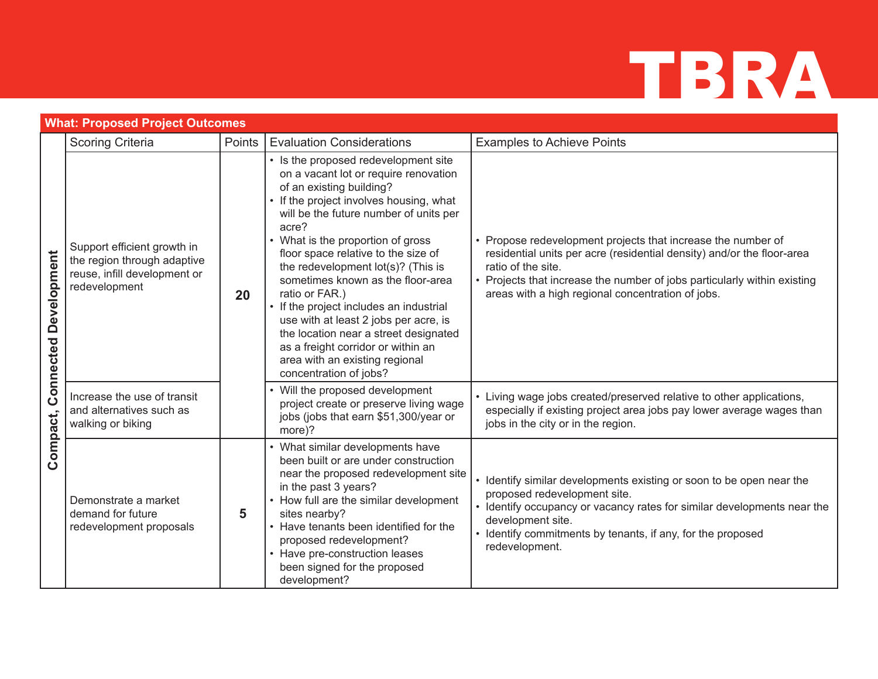| <b>What: Proposed Project Outcomes</b>      |                                                                                                             |        |                                                                                                                                                                                                                                                                                                                                                                                                                                                                                                                                                                                                                 |                                                                                                                                                                                                                                                                                               |
|---------------------------------------------|-------------------------------------------------------------------------------------------------------------|--------|-----------------------------------------------------------------------------------------------------------------------------------------------------------------------------------------------------------------------------------------------------------------------------------------------------------------------------------------------------------------------------------------------------------------------------------------------------------------------------------------------------------------------------------------------------------------------------------------------------------------|-----------------------------------------------------------------------------------------------------------------------------------------------------------------------------------------------------------------------------------------------------------------------------------------------|
|                                             | <b>Scoring Criteria</b>                                                                                     | Points | <b>Evaluation Considerations</b>                                                                                                                                                                                                                                                                                                                                                                                                                                                                                                                                                                                | <b>Examples to Achieve Points</b>                                                                                                                                                                                                                                                             |
| <b>Development</b><br>Connected<br>Compact, | Support efficient growth in<br>the region through adaptive<br>reuse, infill development or<br>redevelopment | 20     | • Is the proposed redevelopment site<br>on a vacant lot or require renovation<br>of an existing building?<br>• If the project involves housing, what<br>will be the future number of units per<br>acre?<br>• What is the proportion of gross<br>floor space relative to the size of<br>the redevelopment lot(s)? (This is<br>sometimes known as the floor-area<br>ratio or FAR.)<br>• If the project includes an industrial<br>use with at least 2 jobs per acre, is<br>the location near a street designated<br>as a freight corridor or within an<br>area with an existing regional<br>concentration of jobs? | • Propose redevelopment projects that increase the number of<br>residential units per acre (residential density) and/or the floor-area<br>ratio of the site.<br>• Projects that increase the number of jobs particularly within existing<br>areas with a high regional concentration of jobs. |
|                                             | Increase the use of transit<br>and alternatives such as<br>walking or biking                                |        | • Will the proposed development<br>project create or preserve living wage<br>jobs (jobs that earn \$51,300/year or<br>more)?                                                                                                                                                                                                                                                                                                                                                                                                                                                                                    | • Living wage jobs created/preserved relative to other applications,<br>especially if existing project area jobs pay lower average wages than<br>jobs in the city or in the region.                                                                                                           |
|                                             | Demonstrate a market<br>demand for future<br>redevelopment proposals                                        | 5      | • What similar developments have<br>been built or are under construction<br>near the proposed redevelopment site<br>in the past 3 years?<br>• How full are the similar development<br>sites nearby?<br>• Have tenants been identified for the<br>proposed redevelopment?<br>• Have pre-construction leases<br>been signed for the proposed<br>development?                                                                                                                                                                                                                                                      | • Identify similar developments existing or soon to be open near the<br>proposed redevelopment site.<br>• Identify occupancy or vacancy rates for similar developments near the<br>development site.<br>• Identify commitments by tenants, if any, for the proposed<br>redevelopment.         |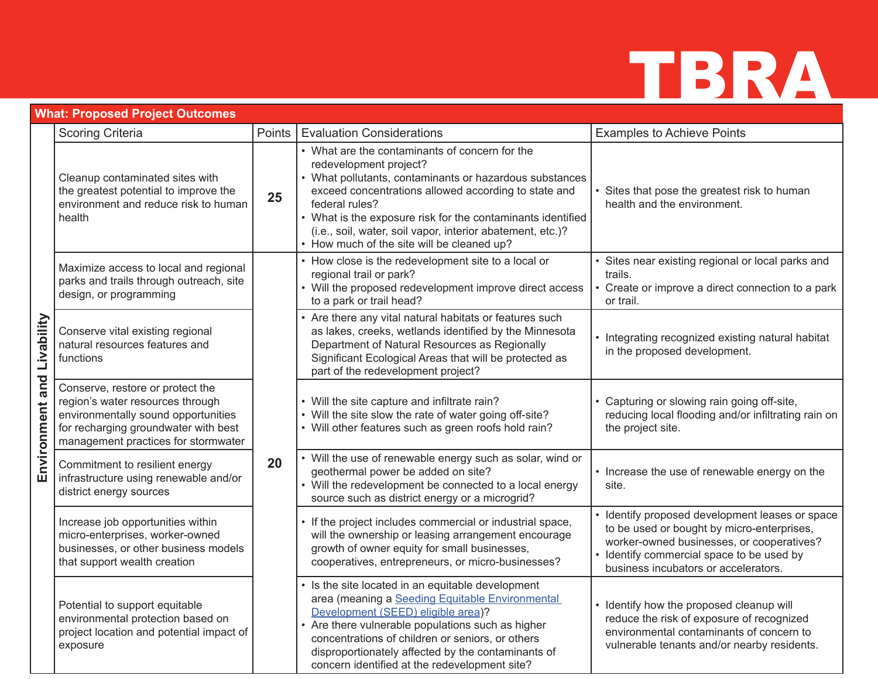

|                               | What: Proposed Project Outcomes                                                                                                                                                            |        |                                                                                                                                                                                                                                                                                                                                                                                          |                                                                                                                                                                                                                               |  |  |  |
|-------------------------------|--------------------------------------------------------------------------------------------------------------------------------------------------------------------------------------------|--------|------------------------------------------------------------------------------------------------------------------------------------------------------------------------------------------------------------------------------------------------------------------------------------------------------------------------------------------------------------------------------------------|-------------------------------------------------------------------------------------------------------------------------------------------------------------------------------------------------------------------------------|--|--|--|
|                               | <b>Scoring Criteria</b>                                                                                                                                                                    | Points | <b>Evaluation Considerations</b>                                                                                                                                                                                                                                                                                                                                                         | <b>Examples to Achieve Points</b>                                                                                                                                                                                             |  |  |  |
| Livability<br>Environment and | Cleanup contaminated sites with<br>the greatest potential to improve the<br>environment and reduce risk to human<br>health                                                                 | 25     | • What are the contaminants of concern for the<br>redevelopment project?<br>• What pollutants, contaminants or hazardous substances<br>exceed concentrations allowed according to state and<br>federal rules?<br>• What is the exposure risk for the contaminants identified<br>(i.e., soil, water, soil vapor, interior abatement, etc.)?<br>• How much of the site will be cleaned up? | • Sites that pose the greatest risk to human<br>health and the environment.                                                                                                                                                   |  |  |  |
|                               | Maximize access to local and regional<br>parks and trails through outreach, site<br>design, or programming                                                                                 |        | • How close is the redevelopment site to a local or<br>regional trail or park?<br>• Will the proposed redevelopment improve direct access<br>to a park or trail head?                                                                                                                                                                                                                    | • Sites near existing regional or local parks and<br>trails.<br>• Create or improve a direct connection to a park<br>or trail.                                                                                                |  |  |  |
|                               | Conserve vital existing regional<br>natural resources features and<br>functions                                                                                                            | 20     | • Are there any vital natural habitats or features such<br>as lakes, creeks, wetlands identified by the Minnesota<br>Department of Natural Resources as Regionally<br>Significant Ecological Areas that will be protected as<br>part of the redevelopment project?                                                                                                                       | • Integrating recognized existing natural habitat<br>in the proposed development.                                                                                                                                             |  |  |  |
|                               | Conserve, restore or protect the<br>region's water resources through<br>environmentally sound opportunities<br>for recharging groundwater with best<br>management practices for stormwater |        | • Will the site capture and infiltrate rain?<br>• Will the site slow the rate of water going off-site?<br>• Will other features such as green roofs hold rain?                                                                                                                                                                                                                           | • Capturing or slowing rain going off-site,<br>reducing local flooding and/or infiltrating rain on<br>the project site.                                                                                                       |  |  |  |
|                               | Commitment to resilient energy<br>infrastructure using renewable and/or<br>district energy sources                                                                                         |        | • Will the use of renewable energy such as solar, wind or<br>geothermal power be added on site?<br>• Will the redevelopment be connected to a local energy<br>source such as district energy or a microgrid?                                                                                                                                                                             | • Increase the use of renewable energy on the<br>site.                                                                                                                                                                        |  |  |  |
|                               | Increase job opportunities within<br>micro-enterprises, worker-owned<br>businesses, or other business models<br>that support wealth creation                                               |        | • If the project includes commercial or industrial space,<br>will the ownership or leasing arrangement encourage<br>growth of owner equity for small businesses,<br>cooperatives, entrepreneurs, or micro-businesses?                                                                                                                                                                    | Identify proposed development leases or space<br>to be used or bought by micro-enterprises,<br>worker-owned businesses, or cooperatives?<br>· Identify commercial space to be used by<br>business incubators or accelerators. |  |  |  |
|                               | Potential to support equitable<br>environmental protection based on<br>project location and potential impact of<br>exposure                                                                |        | • Is the site located in an equitable development<br>area (meaning a Seeding Equitable Environmental<br>Development (SEED) eligible area)?<br>Are there vulnerable populations such as higher<br>concentrations of children or seniors, or others<br>disproportionately affected by the contaminants of<br>concern identified at the redevelopment site?                                 | • Identify how the proposed cleanup will<br>reduce the risk of exposure of recognized<br>environmental contaminants of concern to<br>vulnerable tenants and/or nearby residents.                                              |  |  |  |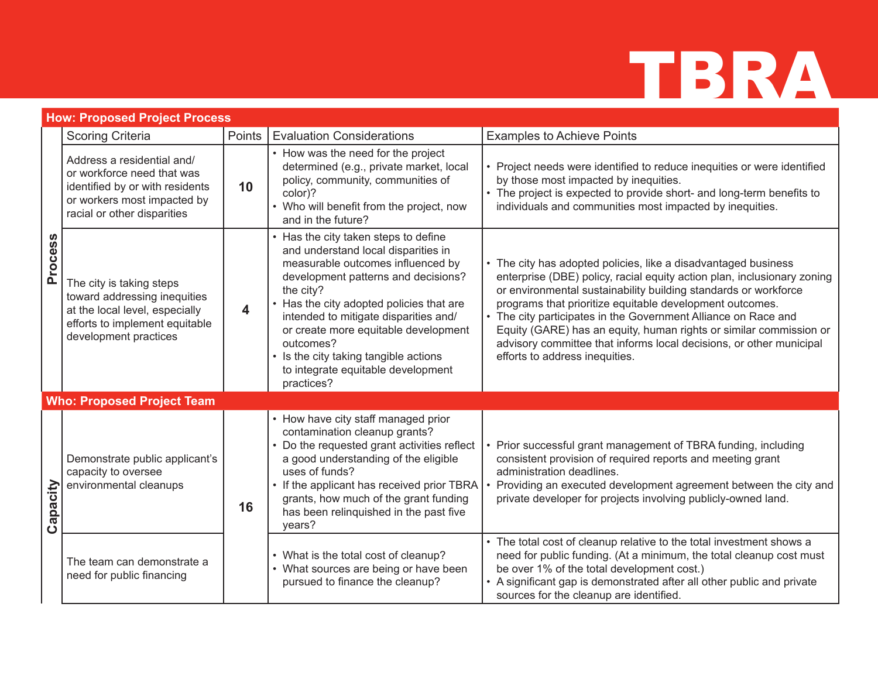|          | <b>How: Proposed Project Process</b>                                                                                                                      |        |                                                                                                                                                                                                                                                                                                                                                                                                       |                                                                                                                                                                                                                                                                                                                                                                                                                                                                                                                           |  |
|----------|-----------------------------------------------------------------------------------------------------------------------------------------------------------|--------|-------------------------------------------------------------------------------------------------------------------------------------------------------------------------------------------------------------------------------------------------------------------------------------------------------------------------------------------------------------------------------------------------------|---------------------------------------------------------------------------------------------------------------------------------------------------------------------------------------------------------------------------------------------------------------------------------------------------------------------------------------------------------------------------------------------------------------------------------------------------------------------------------------------------------------------------|--|
|          | <b>Scoring Criteria</b>                                                                                                                                   | Points | <b>Evaluation Considerations</b>                                                                                                                                                                                                                                                                                                                                                                      | <b>Examples to Achieve Points</b>                                                                                                                                                                                                                                                                                                                                                                                                                                                                                         |  |
| Process  | Address a residential and/<br>or workforce need that was<br>identified by or with residents<br>or workers most impacted by<br>racial or other disparities | 10     | • How was the need for the project<br>determined (e.g., private market, local<br>policy, community, communities of<br>color)?<br>• Who will benefit from the project, now<br>and in the future?                                                                                                                                                                                                       | • Project needs were identified to reduce inequities or were identified<br>by those most impacted by inequities.<br>• The project is expected to provide short- and long-term benefits to<br>individuals and communities most impacted by inequities.                                                                                                                                                                                                                                                                     |  |
|          | The city is taking steps<br>toward addressing inequities<br>at the local level, especially<br>efforts to implement equitable<br>development practices     | 4      | Has the city taken steps to define<br>and understand local disparities in<br>measurable outcomes influenced by<br>development patterns and decisions?<br>the city?<br>Has the city adopted policies that are<br>intended to mitigate disparities and/<br>or create more equitable development<br>outcomes?<br>Is the city taking tangible actions<br>to integrate equitable development<br>practices? | • The city has adopted policies, like a disadvantaged business<br>enterprise (DBE) policy, racial equity action plan, inclusionary zoning<br>or environmental sustainability building standards or workforce<br>programs that prioritize equitable development outcomes.<br>• The city participates in the Government Alliance on Race and<br>Equity (GARE) has an equity, human rights or similar commission or<br>advisory committee that informs local decisions, or other municipal<br>efforts to address inequities. |  |
|          | <b>Who: Proposed Project Team</b>                                                                                                                         |        |                                                                                                                                                                                                                                                                                                                                                                                                       |                                                                                                                                                                                                                                                                                                                                                                                                                                                                                                                           |  |
| Capacity | Demonstrate public applicant's<br>capacity to oversee<br>environmental cleanups                                                                           | 16     | • How have city staff managed prior<br>contamination cleanup grants?<br>Do the requested grant activities reflect<br>a good understanding of the eligible<br>uses of funds?<br>• If the applicant has received prior TBRA<br>grants, how much of the grant funding<br>has been relinquished in the past five<br>years?                                                                                | Prior successful grant management of TBRA funding, including<br>consistent provision of required reports and meeting grant<br>administration deadlines.<br>Providing an executed development agreement between the city and<br>private developer for projects involving publicly-owned land.                                                                                                                                                                                                                              |  |
|          | The team can demonstrate a<br>need for public financing                                                                                                   |        | • What is the total cost of cleanup?<br>• What sources are being or have been<br>pursued to finance the cleanup?                                                                                                                                                                                                                                                                                      | • The total cost of cleanup relative to the total investment shows a<br>need for public funding. (At a minimum, the total cleanup cost must<br>be over 1% of the total development cost.)<br>• A significant gap is demonstrated after all other public and private<br>sources for the cleanup are identified.                                                                                                                                                                                                            |  |